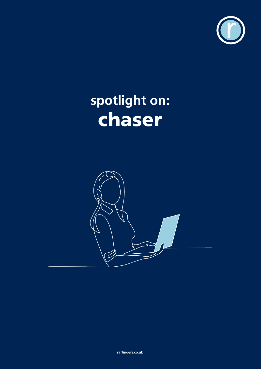

# **spotlight on:** chaser